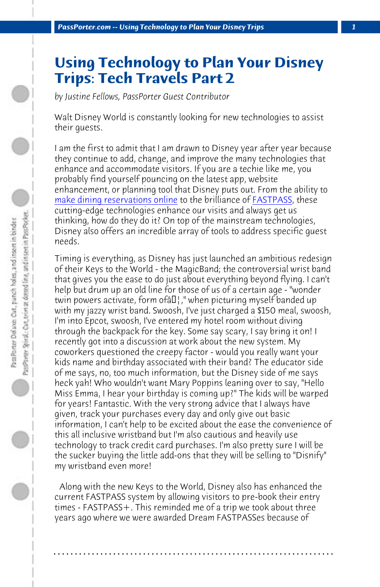*[PassPorter.com -- Using Technology](https://disneyworld.disney.go.com/dining/#/reservations-accepted) to Plan Your Disney T[rips](https://disneyworld.disney.go.com/guest-services/fast-pass/) 1*

## **Using Technology to Plan Your Disney Trips: Tech Travels Part 2**

*by Justine Fellows, PassPorter Guest Contributor*

Walt Disney World is constantly looking for new technologies to assist their guests.

I am the first to admit that I am drawn to Disney year after year because they continue to add, change, and improve the many technologies that enhance and accommodate visitors. If you are a techie like me, you probably find yourself pouncing on the latest app, website enhancement, or planning tool that Disney puts out. From the ability to make dining reservations online to the brilliance of FASTPASS, these cutting-edge technologies enhance our visits and always get us thinking, how do they do it? On top of the mainstream technologies, Disney also offers an incredible array of tools to address specific guest needs.

Timing is everything, as Disney has just launched an ambitious redesign of their Keys to the World - the MagicBand; the controversial wrist band that gives you the ease to do just about everything beyond flying. I can't help but drum up an old line for those of us of a certain age - "wonder twin powers activate, form of  $E$ ," when picturing myself banded up with my jazzy wrist band. Swoosh, I've just charged a \$150 meal, swoosh, I'm into Epcot, swoosh, I've entered my hotel room without diving through the backpack for the key. Some say scary, I say bring it on! I recently got into a discussion at work about the new system. My coworkers questioned the creepy factor - would you really want your kids name and birthday associated with their band? The educator side of me says, no, too much information, but the Disney side of me says heck yah! Who wouldn't want Mary Poppins leaning over to say, "Hello Miss Emma, I hear your birthday is coming up?" The kids will be warped for years! Fantastic. With the very strong advice that I always have given, track your purchases every day and only give out basic information, I can't help to be excited about the ease the convenience of this all inclusive wristband but I'm also cautious and heavily use technology to track credit card purchases. I'm also pretty sure I will be the sucker buying the little add-ons that they will be selling to "Disnify" my wristband even more!

 Along with the new Keys to the World, Disney also has enhanced the current FASTPASS system by allowing visitors to pre-book their entry times - FASTPASS +. This reminded me of a trip we took about three years ago where we were awarded Dream FASTPASSes because of

**. . . . . . . . . . . . . . . . . . . . . . . . . . . . . . . . . . . . . . . . . . . . . . . . . . . . . . . . . . . . . . . . . .**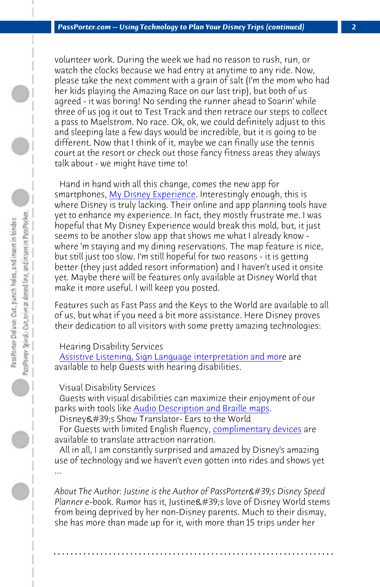*PassPorter.co[m -- Using Technology to Pla](https://disneyworld.disney.go.com/plan/my-disney-experience/mobile-apps/)n Your Disney Trips (continued) 2*

volunteer work. During the week we had no reason to rush, run, or watch the clocks because we had entry at anytime to any ride. Now, please take the next comment with a grain of salt (I'm the mom who had her kids playing the Amazing Race on our last trip), but both of us agreed - it was boring! No sending the runner ahead to Soarin' while three of us jog it out to Test Track and then retrace our steps to collect a pass to Maelstrom. No race. Ok, ok, we could definitely adjust to this and sleeping late a few days would be incredible, but it is going to be different. Now that I think of it, maybe we can finally use the tennis court at the resort or check out those fancy fitness areas they always talk about - we might have time to!

 [Hand in hand with all this change, comes the new app for](https://disneyworld.disney.go.com/guest-services/hearing-impaired-services/) smartphones, My Disney Experience. Interestingly enough, this is where Disney is truly lacking. Their online and app planning tools have yet to enhance my experience. In fact, they mostly frustrate me. I was hopeful that My Disney Experience would break this mold, but, it just seems to be another [slow app that shows me what I alrea](https://disneyworld.disney.go.com/guest-services/visual-disability-services/)dy know where 'm staying and my dining reservations. The map feature is nice, but still just too slow. I'm still hopeful for [two reasons - it is gettin](https://disneyworld.disney.go.com/guest-services/attraction-translation-devices/)g better (they just added resort information) and I haven't used it onsite yet. Maybe there will be features only available at Disney World that make it more useful. I will keep you posted.

Features such as Fast Pass and the Keys to the World are available to all of us, but what if you need a bit more assistance. Here Disney proves their dedication to all visitors with some pretty amazing technologies:

## Hearing Disability Services

 Assistive Listening, Sign Language interpretation and more are available to help Guests with hearing disabilities.

...

 Guests with visual disabilities can maximize their enjoyment of our parks with tools like Audio Description and Braille maps. Disney's Show Translator- Ears to the World

For Guests with limited English fluency, complimentary devices are available to translate attraction narration.

 All in all, I am constantly surprised and amazed by Disney's amazing use of technology and we haven't even gotten into rides and shows yet

About The Author: Justine is the Author of PassPorter's Disney Speed Planner e-book. Rumor has it, Justine's love of Disney World stems from being deprived by her non-Disney parents. Much to their dismay, she has more than made up for it, with more than 15 trips under her

**. . . . . . . . . . . . . . . . . . . . . . . . . . . . . . . . . . . . . . . . . . . . . . . . . . . . . . . . . . . . . . . . . .**

Visual Disability Services